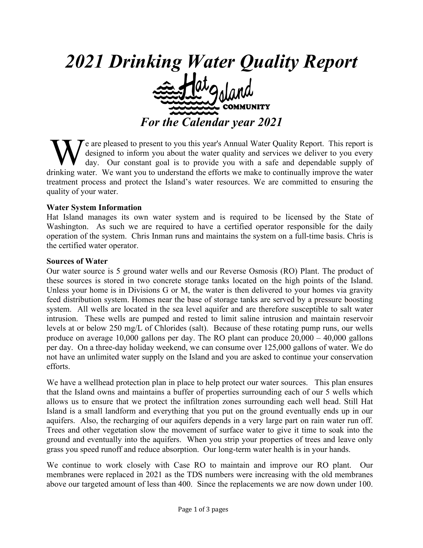

e are pleased to present to you this year's Annual Water Quality Report. This report is designed to inform you about the water quality and services we deliver to you every day. Our constant goal is to provide you with a safe and dependable supply of We are pleased to present to you this year's Annual Water Quality Report. This report is designed to inform you about the water quality and services we deliver to you every day. Our constant goal is to provide you with a s treatment process and protect the Island's water resources. We are committed to ensuring the quality of your water.

#### **Water System Information**

Hat Island manages its own water system and is required to be licensed by the State of Washington. As such we are required to have a certified operator responsible for the daily operation of the system. Chris Inman runs and maintains the system on a full-time basis. Chris is the certified water operator.

#### **Sources of Water**

Our water source is 5 ground water wells and our Reverse Osmosis (RO) Plant. The product of these sources is stored in two concrete storage tanks located on the high points of the Island. Unless your home is in Divisions G or M, the water is then delivered to your homes via gravity feed distribution system. Homes near the base of storage tanks are served by a pressure boosting system. All wells are located in the sea level aquifer and are therefore susceptible to salt water intrusion. These wells are pumped and rested to limit saline intrusion and maintain reservoir levels at or below 250 mg/L of Chlorides (salt). Because of these rotating pump runs, our wells produce on average 10,000 gallons per day. The RO plant can produce 20,000 – 40,000 gallons per day. On a three-day holiday weekend, we can consume over 125,000 gallons of water. We do not have an unlimited water supply on the Island and you are asked to continue your conservation efforts.

We have a wellhead protection plan in place to help protect our water sources. This plan ensures that the Island owns and maintains a buffer of properties surrounding each of our 5 wells which allows us to ensure that we protect the infiltration zones surrounding each well head. Still Hat Island is a small landform and everything that you put on the ground eventually ends up in our aquifers. Also, the recharging of our aquifers depends in a very large part on rain water run off. Trees and other vegetation slow the movement of surface water to give it time to soak into the ground and eventually into the aquifers. When you strip your properties of trees and leave only grass you speed runoff and reduce absorption. Our long-term water health is in your hands.

We continue to work closely with Case RO to maintain and improve our RO plant. Our membranes were replaced in 2021 as the TDS numbers were increasing with the old membranes above our targeted amount of less than 400. Since the replacements we are now down under 100.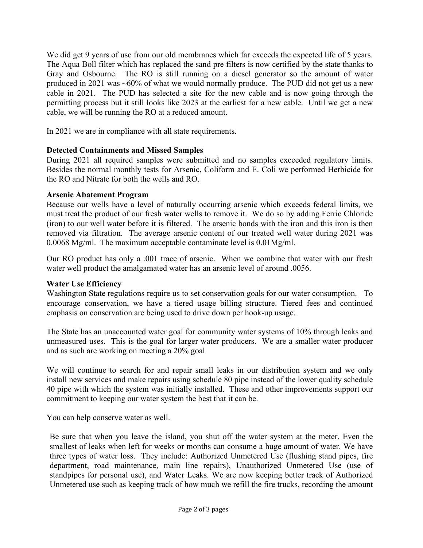We did get 9 years of use from our old membranes which far exceeds the expected life of 5 years. The Aqua Boll filter which has replaced the sand pre filters is now certified by the state thanks to Gray and Osbourne. The RO is still running on a diesel generator so the amount of water produced in 2021 was ~60% of what we would normally produce. The PUD did not get us a new cable in 2021. The PUD has selected a site for the new cable and is now going through the permitting process but it still looks like 2023 at the earliest for a new cable. Until we get a new cable, we will be running the RO at a reduced amount.

In 2021 we are in compliance with all state requirements.

# **Detected Containments and Missed Samples**

During 2021 all required samples were submitted and no samples exceeded regulatory limits. Besides the normal monthly tests for Arsenic, Coliform and E. Coli we performed Herbicide for the RO and Nitrate for both the wells and RO.

## **Arsenic Abatement Program**

Because our wells have a level of naturally occurring arsenic which exceeds federal limits, we must treat the product of our fresh water wells to remove it. We do so by adding Ferric Chloride (iron) to our well water before it is filtered. The arsenic bonds with the iron and this iron is then removed via filtration. The average arsenic content of our treated well water during 2021 was 0.0068 Mg/ml. The maximum acceptable contaminate level is 0.01Mg/ml.

Our RO product has only a .001 trace of arsenic. When we combine that water with our fresh water well product the amalgamated water has an arsenic level of around .0056.

# **Water Use Efficiency**

Washington State regulations require us to set conservation goals for our water consumption. To encourage conservation, we have a tiered usage billing structure. Tiered fees and continued emphasis on conservation are being used to drive down per hook-up usage.

The State has an unaccounted water goal for community water systems of 10% through leaks and unmeasured uses. This is the goal for larger water producers. We are a smaller water producer and as such are working on meeting a 20% goal

We will continue to search for and repair small leaks in our distribution system and we only install new services and make repairs using schedule 80 pipe instead of the lower quality schedule 40 pipe with which the system was initially installed. These and other improvements support our commitment to keeping our water system the best that it can be.

You can help conserve water as well.

Be sure that when you leave the island, you shut off the water system at the meter. Even the smallest of leaks when left for weeks or months can consume a huge amount of water. We have three types of water loss. They include: Authorized Unmetered Use (flushing stand pipes, fire department, road maintenance, main line repairs), Unauthorized Unmetered Use (use of standpipes for personal use), and Water Leaks. We are now keeping better track of Authorized Unmetered use such as keeping track of how much we refill the fire trucks, recording the amount